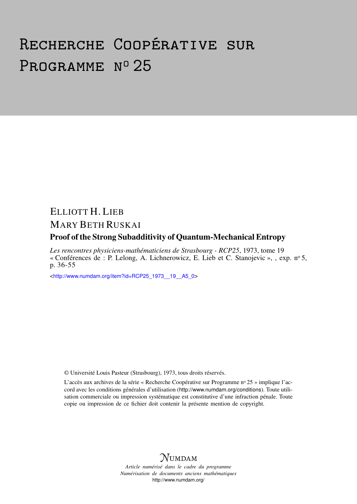# Recherche Coopérative sur PROGRAMME Nº 25

# ELLIOTT H. LIEB MARY BETH RUSKAI

# Proof of the Strong Subadditivity of Quantum-Mechanical Entropy

*Les rencontres physiciens-mathématiciens de Strasbourg - RCP25*, 1973, tome 19 « Conférences de : P. Lelong, A. Lichnerowicz, E. Lieb et C. Stanojevic », , exp. n<sup>o</sup> 5, p. 36-55

<[http://www.numdam.org/item?id=RCP25\\_1973\\_\\_19\\_\\_A5\\_0](http://www.numdam.org/item?id=RCP25_1973__19__A5_0)>

© Université Louis Pasteur (Strasbourg), 1973, tous droits réservés.

L'accès aux archives de la série « Recherche Coopérative sur Programme nº 25 » implique l'accord avec les conditions générales d'utilisation (<http://www.numdam.org/conditions>). Toute utilisation commerciale ou impression systématique est constitutive d'une infraction pénale. Toute copie ou impression de ce fichier doit contenir la présente mention de copyright.



*Article numérisé dans le cadre du programme Numérisation de documents anciens mathématiques* <http://www.numdam.org/>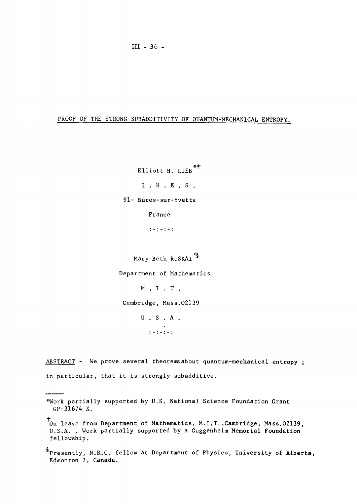# PROOF OF THE STRONG SUBADDITIVITY OF QUANTUM-MECHANICAL ENTROPY.

Elliott H. LIEB<sup>\*+</sup> I . H . E . S . 91- Bures-sur-Yvette France

 $1 - 1 - 1 - 1$ 

Mary Beth RUSKAI<sup>\*</sup>S

Department of Mathematics

M . I . T .

Cambridge, Mass.02139

U.S.A .  $1 - 1 - 1 - 1$ 

ABSTRACT - We prove several theorems about quantum-mechanical entropy ; in particular, that it is strongly subadditive.

<sup>\*</sup>Work partially supported by U.S. National Science Foundation Grant GP-31674 X.

On leave from Department of Mathematics, M.I.T.,Cambridge, Mass.02139, U.S.A. . Work partially supported by a Guggenheim Memorial Foundation fellowship.

<sup>^</sup>Presently, N.R.C. fellow at Department of Physics, University of Alberta, Edmonton 7, Canada.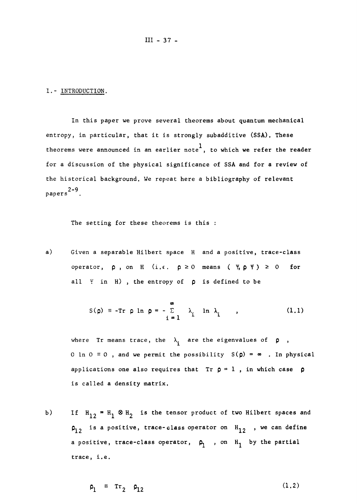**III -** 37 -

#### I.- INTRODUCTION,

In this paper we prove several theorems about quantum mechanical entropy, in particular, that it is strongly subadditive **(SSA)**. These theorems were announced in an earlier note<sup>1</sup>, to which we refer the reader for a discussion of the physical significance of **SSA** and for a review of the historical background. We repeat here a bibliography of relevant 2-9 papers

The setting for these theorems is this :

a) Given a separable Hilbert space H and a positive, trace-class operator,  $\rho$ , on H (i.e.  $\rho \ge 0$  means (*Y*,  $\rho$  Y )  $\ge 0$  for all Y in H) , the entropy of **p** is defined to be

$$
S(\rho) = -Tr \rho \ln \rho = -\sum_{i=1}^{\infty} \lambda_i \ln \lambda_i
$$
 (1.1)

where Tr means trace, the  $\lambda_i$  are the eigenvalues of  $\rho$ , 0 ln  $0 \equiv 0$ , and we permit the possibility  $S(\rho) = \infty$ . In physical applications one also requires that  $Tr \rho = 1$ , in which case  $\rho$ is called a density matrix.

b) If  $H_{12} = H_1 \otimes H_2$  is the tensor product of two Hilbert spaces and  $p_{12}$  is a positive, trace-class operator on  $H_{12}$ , we can define a positive, trace-class operator,  $\rho_1$ , on  $H_1$  by the partial trace, i.e.

$$
\rho_1 = \text{Tr}_2 \quad \rho_{12} \tag{1.2}
$$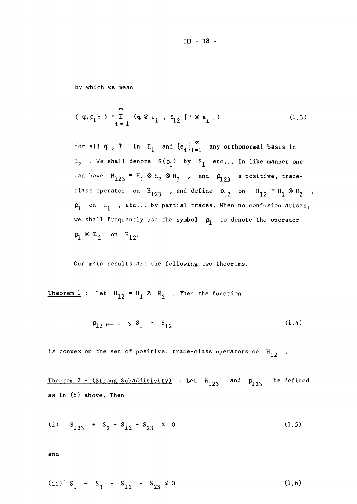# **III - 38 -**

by which we mean

$$
(\varphi, \rho_1 \Psi) = \sum_{i=1}^{\infty} (\varphi \otimes e_i, \rho_2 [\Psi \otimes e_i])
$$
 (1.3)

for all  $\varphi$ ,  $\psi$  in  $H_1$  and  $\{e_i\}_{i=1}^{\infty}$  any orthonormal basis in  $H_2$  . We shall denote  $S(\rho_1)$  by  $S_1$  etc... In like manner one can have  $\texttt{H}_{123}$  =  $\texttt{H}_{1}$   $\otimes$   $\texttt{H}_{2}$   $\otimes$   $\texttt{H}_{3}$  , and  $\texttt{P}_{123}$  a positive, t class operator on  $H_{123}$  , and define  $P_{12}$  on  $H_{12}$  =  $H_1$   $\otimes$  H  $\rho_1$  on  $H_1$  , etc... by partial traces. When no confusion arises, we shall frequently use the symbol  $\rho_1$  to denote the operator  $p_1 \otimes \mathbf{1}_2$  on  $H_{12}$ .

Our main results are the following two theorems.

Theorem 1 : Let  $H_{12} = H_1 \otimes H_2$  . Then the function

$$
\rho_{12} \xrightarrow{\qquad} s_1 - s_{12} \tag{1.4}
$$

is convex on the set of positive, trace-class operators on  $H^2$ <sub>12</sub>.

Theorem 2 – (Strong Subadditivity) : Let  $H^2_{1,23}$  and  $A^2_{1,23}$  be define as in (b) above. Then

(i) 
$$
S_{123} + S_2 - S_{12} - S_{23} \le 0
$$
 (1.5)

and

(ii) 
$$
S_1 + S_3 - S_{12} - S_{23} \le 0
$$
 (1.6)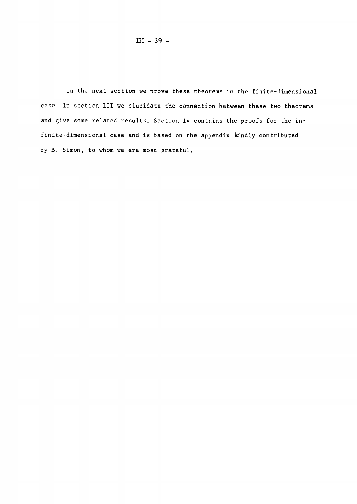In the next section we prove these theorems in the finite-dimensional case. In section III we elucidate the connection between these two theorems and give some related results. Section IV contains the proofs for the infinite-dimensional case and is based on the appendix kindly contributed by B. Simon, to whom we are most grateful.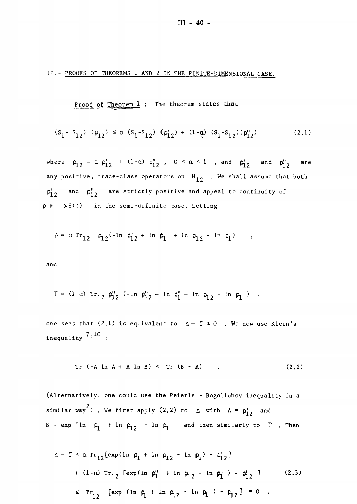#### II.- PROOFS OF THEOREMS 1 AND 2 IN THE FINITE-DIMENSIONAL CASE

Proof of Theorem **1** : The theorem states that

$$
(s_{1} - s_{12}) (\rho_{12}) \le \alpha (s_{1} - s_{12}) (\rho_{12}') + (1 - \alpha) (s_{1} - s_{12}) (\rho_{12}'') \qquad (2.1)
$$

where  $\rho_1$ <sub>2</sub> =  $\alpha$   $\rho_1^1$ <sub>2</sub> + (1- $\alpha$ )  $\rho_1^1$ <sub>2</sub>, 0  $\leq \alpha \leq 1$  , and  $\rho_1^1$ <sub>2</sub> and  $\rho_1^1$ <sub>2</sub> are any positive, trace-class operators on  $H^2_{12}$  . We shall assume that both  $\mathsf{p}^{\prime}_{12}$  and  $\mathsf{p}^{\prime\prime}_{12}$  are strictly positive and appeal to continuity of p  $\longmapsto$ S(p) in the semi-definite case. Letting

$$
\Delta = \alpha \operatorname{Tr}_{12} \rho_1' 2^{(-\ln \rho_1')} 2 + \ln \rho_1' + \ln \rho_{12} - \ln \rho_1' \quad ,
$$

and

$$
\Gamma = (1 - \alpha) \operatorname{Tr}_{12} \rho_{12}'' (-\ln \rho_{12}'' + \ln \rho_{1}'' + \ln \rho_{12} - \ln \rho_{1}) ,
$$

one sees that  $(2,1)$  is equivalent to  $A + \Gamma \le 0$  . We now use Klein's 7,10  $\cdots$ 

$$
Tr (-A ln A + A ln B) \leq Tr (B - A) \qquad . \qquad (2.2)
$$

(Alternatively, one could use the Peierls - Bogoliubov inequality in a  $2\sqrt{2}$ similar way ) . We first apply  $\langle 2, 2 \rangle$  to  $\beta$  with  $A = p^2/2$  and B = exp  $\begin{bmatrix} 1n & p^1_1 + 1n & p^1_2 \end{bmatrix}$  - 1n  $p^1_1$  and then similarly to  $\Gamma$  . Then

$$
\Delta + \Gamma \leq \alpha \operatorname{Tr}_{12} [\exp(\ln \rho_1' + \ln \rho_{12} - \ln \rho_1) - \rho_{12}']
$$
  
+  $(1-\alpha) \operatorname{Tr}_{12} [\exp(\ln \rho_1'' + \ln \rho_{12} - \ln \rho_1') - \rho_{12}' ]$  (2.3)  
 $\leq \operatorname{Tr}_{12} [\exp(\ln \rho_1' + \ln \rho_{12} - \ln \rho_1) - \rho_{12}] = 0$ .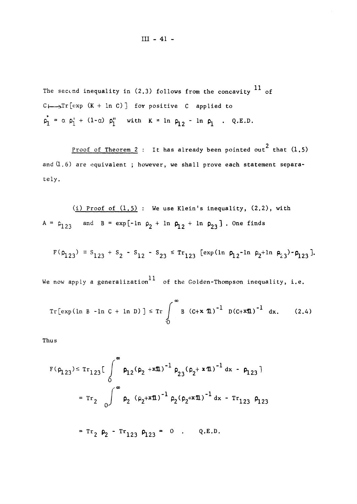The second inequality in  $(2.3)$  follows from the concavity  $^{11}$  of  $C \longmapsto Tr[exp (K + ln C)]$  for positive C applied to  $p_1 = \alpha p_1' + (1-\alpha) p_1''$  with  $K = 1n p_1 - ln p_1$ . Q.E.D.

<u>Proof of Theorem 2</u> : It has already been pointed out<sup>2</sup> that  $(1.5)$ and  $(1,6)$  are equivalent; however, we shall prove each statement separaand (1.6) are equivalent ; however, we shall prove each statement separa-

(i) Proof of (1.5): We use Klein's inequality, (2.2), with 
$$
A = \rho_{123}
$$
 and  $B = \exp[-\ln \rho_2 + \ln \rho_{12} + \ln \rho_{23}]$ . One finds

$$
F(\rho_{123}) = S_{123} + S_2 - S_{12} - S_{23} \leq Tr_{123} [\exp(\ln \rho_{12} - \ln \rho_{2} + \ln \rho_{23}) - \rho_{123}].
$$

We now apply a generalization<sup>11</sup> of the Golden-Thompson inequality, i.e.

Tr[exp(ln B - ln C + ln D)] 
$$
\leq Tr \int_{0}^{\infty} B (C + x \text{ 1})^{-1} D(C + x \text{ 1})^{-1} dx.
$$
 (2.4)

Thus

$$
F(\rho_{123}) \leq Tr_{123} \left[ \int_{0}^{\infty} \rho_{12} (\rho_{2} + x \pi)^{-1} \rho_{23} (\rho_{2} + x \pi)^{-1} dx - \rho_{123} \right]
$$
  
=  $Tr_{2} \int_{0}^{\infty} \rho_{2} (\rho_{2} + x \pi)^{-1} \rho_{2} (\rho_{2} + x \pi)^{-1} dx - Tr_{123} \rho_{123}$   
=  $Tr_{2} \rho_{2} - Tr_{123} \rho_{123} = 0$ . Q.E.D.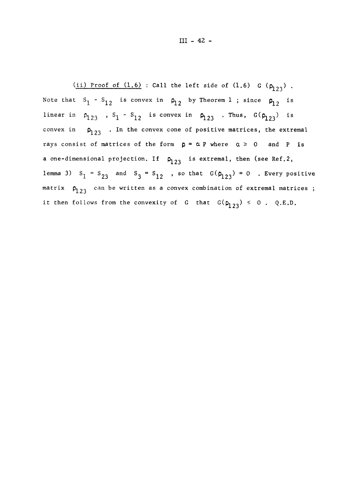**III - 42 -**

 $(i)$  Proof of  $(1.6)$  : Call the left side of  $(1.6)$  G  $(\rho_{123})$  . Note that  $S_1$  -  $S_{1,2}$  is convex in  $\rho_{1,2}$  by Theorem 1 ; since  $\rho_{1,2}$  is  $\mathsf{S}_1 \cdot \mathsf{S}_1 \cdot \mathsf{S}_1 = \mathsf{S}_{12}$  is convex in  $\mathsf{P}_{123}$  . Thus,  $\mathsf{G}(\mathsf{P}_{123})$  i convex in  $\bm{\mathsf{p}}_{\text{1,23}}$  . In the convex cone of positive matrices, the extrema rays consist of matrices of the form  $p = \alpha P$  where  $\alpha \ge 0$  and P is a one-dimensional projection. If  $\rho_{123}$  is extremal, then (see Ref.2, lemma 3)  $S_1$  =  $S_{23}$  and  $S_3$  =  $S_{12}$  , so that  $G(\rho_{123})$  = 0 . Every positiv matrix  $\rho_{\overline{1}\,2\,3}^{}$  can be written as a convex combination of extremal matrices it then follows from the convexity of G that  $G(p_{123}) \le 0$ . Q.E.D.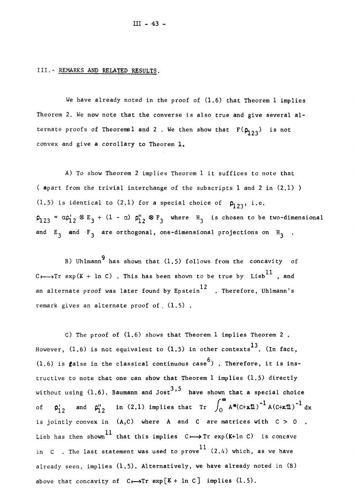#### III.- REMARKS AND RELATED RESULTS.

We have already noted in the proof of  $(1.6)$  that Theorem 1 implies Theorem 2. We now note that the converse is also true and give several alternate proofs of Theorems1 and 2 . We then show that  $\mathbf{F}(\mathsf{p}_{1,2,3}^*)$  is no convex and give a corollary to Theorem **1.** 

A) To show Theorem 2 implies Theorem 1 it suffices to note that ( apart from the trivial interchange of the subscripts 1 and 2 in (2.1) ) (1.5) is identical to (2.1) for a special choice of  $\rho^{\text{123}}$ , i.e.  $\mathsf{p}_{123}$  =  $\mathsf{a}\mathsf{p}_{12}$  & E<sub>3</sub> + (1 -  $\mathsf{a}$ )  $\mathsf{p}_{12}^{\scriptscriptstyle\vee}$  & F<sub>3</sub> where H<sub>3</sub> is chosen to be two-dimen and  $E^{\text{a}}_3$  and  $F^{\text{a}}_3$  are orthogonal, one-dimensional projections on  $H^{\text{a}}_3$ 

B) Uhlmann<sup>9</sup> has shown that  $(1.5)$  follows from the concavity of C $\longmapsto$ Tr exp(K + ln C). This has been shown to be true by Lieb<sup>11</sup>, and an alternate proof was later found by Epstein<sup>12</sup> . Therefore, Uhlmann's remark gives an alternate proof of  $(1.5)$ .

C) The proof of  $(1.6)$  shows that Theorem 1 implies Theorem 2. However,  $(1.6)$  is not equivalent to  $(1.5)$  in other contexts<sup>13</sup>. (In fact, (1.6) is false in the classical continuous case<sup>6</sup>) . Therefore, it is instructive to note that one can show that Theorem  $l$  implies  $(l, 5)$  directly without using  $(1.6)$ . Baumann and Jost<sup>3,5</sup> have shown that a special choice of  $\sigma'$ , and  $\sigma''$ , in (2.1) implies that  $Tr \int_{\sigma} A^*(C+x\mathbf{1})^{-1} A(C+x\mathbf{1})^{-1} dx$  $\mathbf{v}$ is jointly convex in  $(A,C)$  where A and C are matrices with  $C > 0$ <br>Lieb has then shown<sup>11</sup> that this implies  $C \rightarrow \text{Tr} \exp(K+ \ln C)$  is concave is jointly convex in (A,C) where  $\mathcal{A}$  and  $\mathcal{A}$  and  $\mathcal{A}$  and  $\mathcal{A}$  are matrices with  $\mathcal{A}$  and  $\mathcal{A}$  $\mathcal{L}$  that this implies  $\mathcal{L}$  this implies  $\mathcal{L}$  is concaved  $\mathcal{L}$  in  $\mathcal{L}$  is concaved  $\mathcal{L}$  is concaved by already seen, implies  $(1.5)$ . Alternatively, we have already noted in  $(B)$ above that concavity of  $C \rightarrow Tr$  exp[K + ln C] implies (1.5).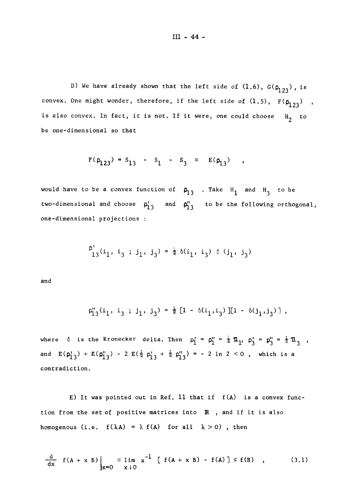D) We have already shown that the left side of  $(1.6)$ ,  $G(\rho_{123})$ , is convex. One might wonder, therefore, if the left side of  $(1.5)$ ,  $F(\rho_{123})$ , is also convex. In fact, it is not. If it were, one could choose  $H_2$  to be one-dimensional so that

$$
F(\rho_{123}) = s_{13} - s_1 - s_3 = E(\rho_{13})
$$
,

would have to be a convex function of  $\rho_{13}^{}$  . Take  $H_1^{}$  and  $H_3^{}$  to be two-dimensional and choose  $p^{\prime}_1{}^3_3$  and  $p^{\prime\prime}_1{}^3_3$  to be the following orthogonal, one-dimensional projections :

$$
\rho'_{13}(i_1, i_3 ; j_1, j_3) = \frac{1}{2} \delta(i_1, i_3) \delta(j_1, j_3)
$$

and

$$
\varphi_{13}^{\prime\prime}(i_1, i_3 ; j_1, j_3) = \frac{1}{2} [1 - \delta(i_1, i_3)] [1 - \delta(j_1, j_3)],
$$

where  $\delta$  is the Kronecker delta. Then  $\rho_1' = \rho_1'' = \frac{1}{\epsilon} \mathbb{1}_1$ ,  $\rho_3' = \rho_3'' = \frac{1}{\epsilon} \mathbb{1}_3$ , and  $E(\rho_{1,3}^1) + E(\rho_{1,3}^0) - 2 E(\frac{1}{2} \rho_{1,3}^1 + \frac{1}{2} \rho_{1,3}^0) = -2 \ln 2 < 0$ , which is a contradiction.

E) It was pointed out in Ref. 11 that if f(A) is a convex function from the set of positive matrices into  $R$ , and if it is also homogenous (i.e.  $f(\lambda A) = \lambda f(A)$  for all  $\lambda > 0$ ), then

$$
\frac{d}{dx} f(A + x B) \Big|_{x=0} = \lim_{x \downarrow 0} x^{-1} [f(A + x B) - f(A)] \le f(B) , \qquad (3.1)
$$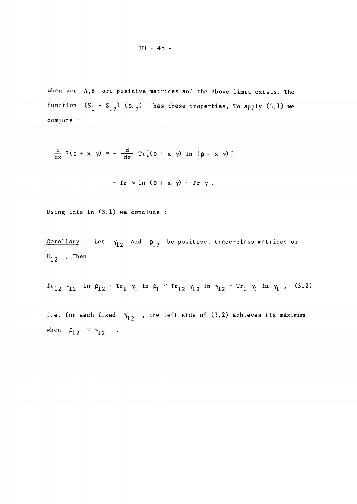# **III - 45 -**

whenever A,B are positive matrices and the above limit exists. The function  $(S_1 - S_{1,2})$   $(\rho_{1,2})$  has these properties. To apply  $(3.1)$  we compute :

$$
\frac{d}{dx} S(\rho + x \gamma) = -\frac{d}{dx} Tr[(\rho + x \gamma) ln (\rho + x \gamma)]
$$

$$
= - Tr \gamma ln (\rho + x \gamma) - Tr \gamma.
$$

Using this in **(3.1)** we conclude :

 $\frac{\text{Corollary}}{\text{Let}}$  in the control  $\mathsf{p}_{\mathbf{1}\mathbf{2}}^{\mathbf{2}}$  be positive, trace-class matrices on  $H_{12}$  . Then

 $Tr_{12} Y_{12}$  **ln**  $\varphi_{12}$  -  $Tr_1 Y_1$  **ln**  $\varphi_1$   $\leq Tr_{12} Y_{12}$  **ln**  $Y_{12}$  -  $Tr_1 Y_1$  **ln**  $Y_1$ ,

i.e. for each fixed  $v^2_{12}$ , the left side of (3.2) achieves its maximum when  $\rho_{12} = \gamma_{12}$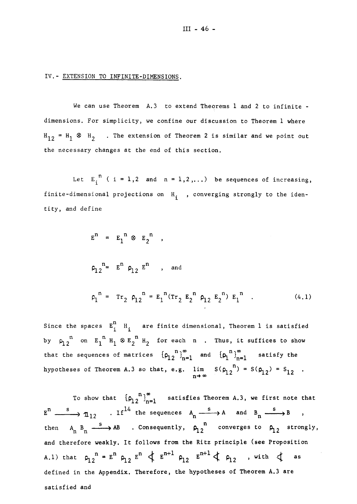#### IV.- EXTENSION TO INFINITE-DIMENSIONS.

We can use Theorem A.3 to extend Theorems 1 and 2 to infinite dimensions. For simplicity, we confine our discussion to Theorem 1 where  $\texttt{H}_{12}$  =  $\texttt{H}_{1}$   $\otimes$   $\texttt{H}_{2}$   $\;$  . The extension of Theorem 2 is similar and we point out the necessary changes at the end of this section.

Let  $E_i^{n}$  ( i = 1,2 and n = 1,2,...) be sequences of increasing, finite-dimensional projections on  $H_i$ , converging strongly to the identity, and define

$$
E'' = E_1^m \otimes E_2^m,
$$
  
\n
$$
\rho_{12}^n = E^n \rho_{12} E^n, \text{ and}
$$
  
\n
$$
\rho_1^n = Tr_2 \rho_{12}^n = E_1^n (Tr_2 E_2^n \rho_{12} E_2^n) E_1^n.
$$
 (4.1)

Since the spaces  $E^{\text{n}}_{i}$  are finite dimensional, Theorem 1 is satisfied by  $\rho_1^{}$   $\rho_1^{}}$  on  $E_1^{}}$   $H_1$   $\otimes$   $E_2^{}}$   $H_2^{}}$  for each n . Thus, it suffices to show that the sequences of matrices  ${\rho_1}^n\}_{n=1}^{\infty}$  and  ${\rho_1}^n\}_{n=1}^{\infty}$  satisfy the hypotheses of Theorem A.3 so that, e.g.  $\lim_{n \to \infty} S(\rho_{12}^{-n}) = S(\rho_{12}) = S_{12}$  $n \rightarrow \infty$ 

To show that  ${\left[\rho_1^{\quad n}\right]}_{n=1}^{\infty}$  satisfies Theorem A.3, we first note that  $E^n \longrightarrow n_{12}$  . If  $14$  the sequences  $A_n \xrightarrow{s} A$  and  $B_n \xrightarrow{s} B$  , then  $A_n$   $B_n$   $\xrightarrow{S}$  AB . Consequently,  $\varphi_1$  <sup>n</sup> converges to  $\varphi_1$ <sub>2</sub> strongly, and therefore weakly. It follows from the Ritz principle (see Proposition A.1) that  $\rho_1$ ,  $\frac{n}{2}$  =  $E^{II}$   $\rho_1$ ,  $E^{II}$   $\leftarrow$   $E^{III}$   $\rho_1$ ,  $E^{III}$   $\leftarrow$   $\leftarrow$   $\rho_1$ , with  $\leftarrow$  as defined in the Appendix. Therefore, the hypotheses of Theorem A.3 are satisfied and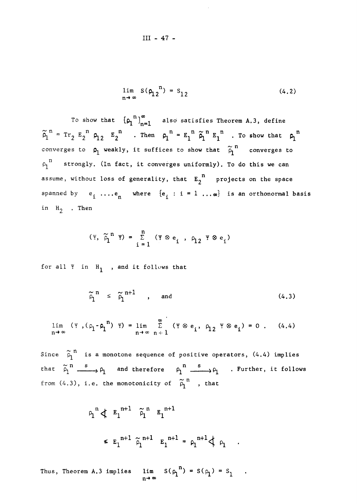$$
\lim_{n \to \infty} S(\rho_{12}^{n}) = S_{12}
$$
 (4.2)

To show that  ${\left[\rho_1^{n}\right]}_{n=1}^{\infty}$  also satisfies Theorem A.3, define  $p_1$ <sup>"</sup> = Tr<sub>2</sub> E<sub>2</sub><sup>"</sup> p<sub>12</sub> E<sub>2</sub><sup>"</sup> . Then  $p_1$ <sup>"</sup> = E<sub>1</sub><sup>"</sup>  $\widetilde{p}_1$ <sup>"</sup> E<sub>1</sub><sup>"</sup> . To show that  $p_1$ <sup>"</sup> converges to  $\rho_1$  weakly, it suffices to show that  $\stackrel{\sim}{\rho}_1^{\prime\prime}$  converges to  $\rho_1$ <sup>n</sup> strongly. (In fact, it converges uniformly). To do this we can assume, without loss of generality, that  $E_2$ <sup>"</sup> projects on the space spanned by  $e_i$  .... $e_n$  where  ${e_i : i = 1 ... \infty}$  is an orthonormal basis in  $H_2$  . Then

$$
(\Psi, \widetilde{\rho}_1^{n} \Psi) = \sum_{i=1}^{n} (\Psi \otimes e_i, \rho_{12} \Psi \otimes e_i)
$$

for all  $Y$  in  $H_1$ , and it follows that

$$
\widetilde{\rho}_1^{n} \leq \widetilde{\rho}_1^{n+1} \qquad , \qquad \text{and} \qquad (4.3)
$$

$$
\lim_{n \to \infty} (\Psi, (\rho_1 - \rho_1^n) \Psi) = \lim_{n \to \infty} \sum_{n+1}^{\infty} (\Psi \otimes e_i, \rho_1 \otimes \Psi \otimes e_i) = 0. \quad (4.4)
$$

Since  $\rho_1^{++}$  is a monotone sequence of positive operators, (4.4) implies that  $\rho_1^{\dots} \longrightarrow \rho_1^{\dots}$  and therefore  $\rho_1^{\dots} \longrightarrow \rho_1^{\dots}$  . Further, it follows from  $(4.3)$ , i.e. the monotonicity of  $p^+_1$  , that

$$
\rho_1^{n} \nless \varepsilon_1^{n+1} \tilde{\rho}_1^{n} \varepsilon_1^{n+1}
$$
\n
$$
\leq \varepsilon_1^{n+1} \tilde{\rho}_1^{n+1} \varepsilon_1^{n+1} = \rho_1^{n+1} \nless \rho_1 .
$$

Thus, Theorem A.3 implies  $n'$ ) = S( $\rho$ <sub>1</sub>) = S<sub>1</sub> n**-4 00**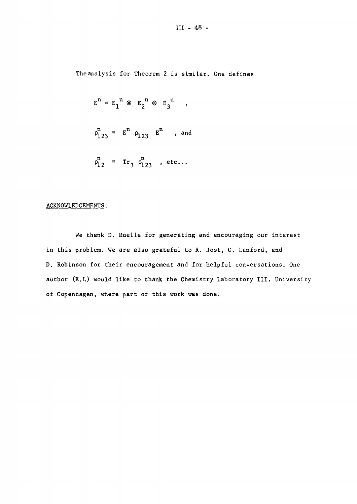Theanalysis for Theorem 2 is similar. One defines

$$
E^{n} = E_{1}^{n} \otimes E_{2}^{n} \otimes E_{3}^{n} ,
$$
  

$$
\rho_{123}^{n} = E^{n} \rho_{123} E^{n} , and
$$
  

$$
\rho_{12}^{n} = Tr_{3} \rho_{123}^{n} , etc...
$$

## ACKNOWLEDGEMENTS.

We thank D. Ruelle for generating and encouraging our interest in this problem. We are also grateful to R. Jost, O. Lanford, and D, Robinson for their encouragement and for helpful conversations. One author (E.L) would like to thank the Chemistry Laboratory III, University of Copenhagen, where part of this work was done.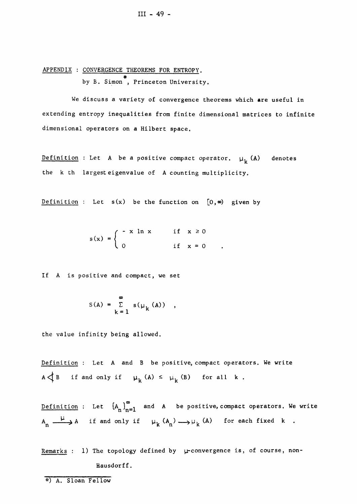APPENDIX : CONVERGENCE THEOREMS FOR ENTROPY. by B. Simon<sup>\*</sup>, Princeton University.

We discuss a variety of convergence theorems which are useful in extending entropy inequalities from finite dimensional matrices to infinite dimensional operators on a Hilbert space.

Definition : Let A be a positive compact operator.  $\mu_k$  (A) denotes the k th largest eigenvalue of A counting multiplicity.

Definition : Let  $s(x)$  be the function on  $[0, \infty)$  given by

x In x  $s(x) = 0$ if  $x \ge 0$ if  $x = 0$ 

If A is positive and compact, we set

$$
S(A) = \sum_{k=1}^{\infty} s(\mu_k(A)) ,
$$

the value infinity being allowed.

Definition : Let A and B be positive, compact operators. We write  $A \triangleleft B$  if and only if  $\mu_k(A) \le \mu_k(B)$  for all k.

Definition : Let  $\left\{A_n\right\}_{n=1}^{\infty}$  and A be positive, compact operators. We write  $A_n \xrightarrow{\mu} A$  if and only if  $\mu_k (A_n) \longrightarrow \mu_k (A)$  for each fixed k. n K. n ' k. n ' k. n ' k. n ' k. n ' k. n ' k. n ' k. n ' k. n ' k. n ' k. n ' k. n ' k. n ' k. n ' k. n ' k. n

Remarks : 1) The topology defined by  $\mu$ -convergence is, of course, non-Hausdorff.

\*) A. Sloan Fellow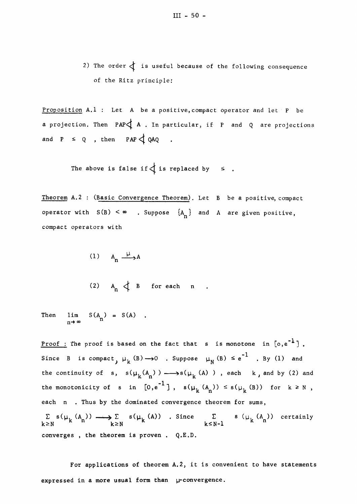2) The order  $\begin{cases} 1 \leq x \leq 1 \leq x \leq 2 \end{cases}$  is useful because of the following consequence of the Ritz principle:

Proposition  $A.1$  : Let A be a positive, compact operator and let P be a projection. Then  $PAP\triangleleft A$  . In particular, if P and Q are projections and  $P \leq Q$ , then  $PAP \leq QAQ$ 

The above is false if  $\oint$  is replaced by  $\leq$ .

Theorem A,2 : (Basic Convergence Theorem). Let B be a positive, compact operator with  $S(B) < \infty$  . Suppose  $\{A_n\}$  and A are given positive, compact operators with

- (1)  $A_n \xrightarrow{\mu} A$
- (2)  $A_n \nightharpoonup B$  for each n.

Then  $\lim_{n \to \infty} S(A_n) = S(A)$ . n→∞

<u>Proof</u>: The proof is based on the fact that s is monotone in  $[o,e^{-1}]$ . Since B is compact,  $\mu_k$  (B)  $\longrightarrow$  0 . Suppose  $\mu_N$  (B)  $\leq e^{-1}$  . By (1) and the continuity of  $s$ ,  $s(\mu_k(A_n)) \longrightarrow s(\mu_k(A))$ , each  $k$ , and by (2) and the monotonicity of  $s$  in [O,e ],  $s(\mu_{k}^-(A_{n})) \leq s(\mu_{k}^-(B))$  for  $k \geq N$ each n . Thus by the dominated convergence theorem for sums,  $\Sigma$  **s**( $\mu_L$  (A<sub>n</sub>))  $\longrightarrow$   $\Sigma$  **s**( $\mu_L$  (A)) . Since  $\Sigma$  **s** ( $\mu_L$  (A<sub>n</sub>)) certainly  $k \ge N$   $k \le N-1$ converges , the theorem is proven . Q.E.D.

For applications of theorem A.2, it is convenient to have statements expressed in a more usual form than  $\mu$ -convergence.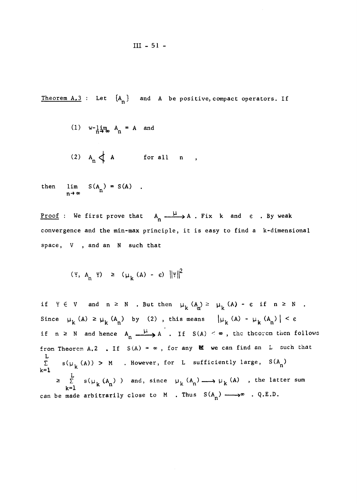**III - 51 -**

Theorem A.3 : Let  ${A_n}$  and A be positive, compact operators. If

(1)  $w-\lim_{n\to\infty} A_n = A$  and  $\cdot$ 

(2) 
$$
A_n \nightharpoonup A
$$
 for all n

then  $\lim_{n \to \infty} S(A_n) = S(A)$ .

<u>Proof</u> : We first prove that  $A_n \xrightarrow{u} A$ . Fix k and  $\varepsilon$  . By weak convergence and the min-max principle, it is easy to find a k-dimensional space, V , and an N such that

 $\overline{\phantom{a}}$ 

$$
(\Psi, A, \Psi) \geq (\mu_k(A) - \epsilon) ||\Psi||^2
$$

if  $\forall \in V$  and  $n \ge N$  , But then  $\mu_k (A_n) \ge \mu_k (A) - \varepsilon$  if  $n \ge N$  . Since  $\mu_{k}$  (A)  $\geq \mu_{k}$  (A<sub>n</sub>) by (2), this means  $\left|\mu_{k}$  (A) -  $\mu_{k}$  (A<sub>n</sub>) | <  $\epsilon$ if  $n \ge N$  and hence  $A_n \xrightarrow{\mu} A$ . If  $S(A) < \infty$ , the theorem then follows from Theorem A.2 . If  $S(A) = \infty$ , for any M we can find an L such that L  $\sum_{n=1}$  s( $\mu_k(A)$ ) > M . However, for L sufficiently large, S(A )  $\lambda$ k=l  $\overline{\mathbf{r}}$  $\geq \sum$  s( $\mu_L$  (A)) and, since  $\mu_L$  (A<sub>n</sub>)  $\longrightarrow$   $\mu_R$  (A), the latter sum **k**=1 **K n K n K n K n** can be made arbitrarily close to M . Thus  $S(A_n) \longrightarrow \infty$  . Q.E.D.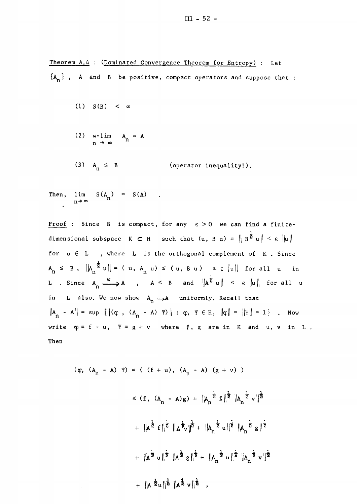Theorem A.4 : (Dominated Convergence Theorem for Entropy) : Let  ${A_n}$ , A and B be positive, compact operators and suppose that :

- (1)  $S(B) < \infty$
- $(2)$  w-lim  $A_n = A$

n

(3)  $A_n \leq B$  (operator inequality!).

Then,  $\lim S(A_n) = S(A)$  $n \rightarrow \infty$ 

Proof : Since B is compact, for any  $\varepsilon > 0$  we can find a finitedimensional subspace  $K \subset H$  such that  $(u, B u) = ||B^{\frac{1}{2}} u || < \epsilon ||u||$ for  $u \in L$ , where L is the orthogonal complement of K. Since  $A_n \leq B$ ,  $\|\underline{A}_n^{\frac{1}{2}}u\| = (u, A_n u) \leq (u, B u) \leq \varepsilon \|u\|$  for all u in L . Since  $A_n \xrightarrow{w} A$ ,  $A \leq B$  and  $||A^{\frac{1}{\epsilon}} u|| \leq \epsilon ||u||$  for all u in L also. We now show  $A_n \rightarrow A$  uniformly. Recall that  $||A_n - A|| = \sup \{ |(\varphi, (A_n - A) \varphi)| : \varphi, \varphi \in H, ||\varphi|| = ||\psi|| = 1 \}$ . Now write  $\varphi = f + u$ ,  $\psi = g + v$  where  $f$ ,  $g$  are in K and u, v in L. Then

$$
(\varphi, (A_n - A) \varphi) = ( (f + u), (A_n - A) (g + v))
$$
  
\n
$$
\leq (f, (A_n - A)g) + ||A_n^{\frac{1}{2}} f||^{\frac{1}{2}} ||A_n^{\frac{1}{2}} v||^{\frac{1}{2}}
$$
  
\n
$$
+ ||A^{\frac{1}{2}} f||^{\frac{1}{2}} ||A^{\frac{1}{2}} v||^{\frac{1}{2}} + ||A_n^{\frac{1}{2}} u||^{\frac{1}{2}} ||A_n^{\frac{1}{2}} g||^{\frac{1}{2}}
$$
  
\n
$$
+ ||A^{\frac{1}{2}} u||^{\frac{1}{2}} ||A^{\frac{1}{2}} g||^{\frac{1}{2}} + ||A_n^{\frac{1}{2}} u||^{\frac{1}{2}} ||A_n^{\frac{1}{2}} v||^{\frac{1}{2}}
$$
  
\n
$$
+ ||A^{\frac{1}{2}} u||^{\frac{1}{2}} ||A^{\frac{1}{2}} v||^{\frac{1}{2}}
$$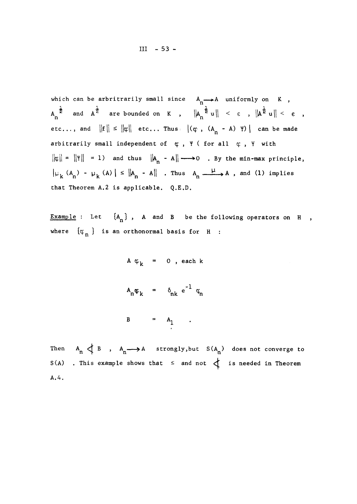**III - 53 -**

which can be arbritrarily small since  $A_n \longrightarrow A$  uniformly on  $K$ ,  $A_n^{\frac{1}{2}}$  and  $A^{\frac{1}{2}}$  are bounded on K,  $\left\|A_n^{\frac{1}{2}}u\right\| < \epsilon$ ,  $\left\|A^{\frac{1}{2}}u\right\| < \epsilon$ , etc..., and  $\|f\| \leq \|\phi\|$  etc... Thus  $|(\phi, (A^r_A - A) \ Y)|$  can be made arbitrarily small independent of  $\varphi$ ,  $\psi$  ( for all  $\varphi$ ,  $\psi$  with  $||\varphi|| = ||\Psi|| = 1$  and thus  $||A_n - A|| \longrightarrow 0$  . By the min-max principle,  $|\mu_k(A_n) - \mu_k(A)| \leq |\mu_n - A||$  . Thus  $A_n \xrightarrow{\mu} A$ , and (1) implies  $\frac{1}{h}$  Theorem  $\frac{1}{h}$  is conjicthe  $0 \nabla h$ that Theorem **A.**2 is applicable. Q.E.D.

Example : Let  ${A_n}$ , A and B be the following operators on H , where  $\{\varphi_n\}$  is an orthonormal basis for H :

$$
A \varphi_k = 0, each k
$$

$$
A_n \varphi_k = \delta_{nk} e^{-1} \varphi_n
$$

$$
B = A_1
$$

Then  $A_n \nlessleftarrow B$  ,  $A_n \longrightarrow A$  strongly, but  $S(A_n)$  does not converge to n r n n  $\mathcal{S}(\mathcal{A})$  . This example shows that  $\mathcal{A}$  and not is neglected in Theorem in Theorem in Theorem in Theorem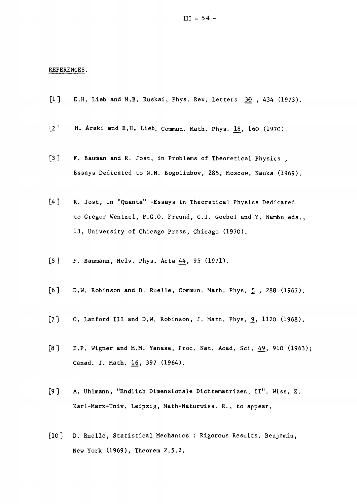#### REFERENCES.

- **[1]** E.H. Lieb and M.B. Ruskai, Phys, Rev. Letters **30 , 434 (1973).**
- **[2]** H. Araki and E.H. Lieb, Commun. Math. Phys. 1**8, 160 (1970).**
- **[3** ] F. Bauman and R. Jost, in Problems of Theoretical Physics ; Essays Dedicated to N.N. Bogoliubov, **285,** Moscow, Nauka **(1969).**
- [4] R. Jost, in "Quanta" -Essays in Theoretical Physics Dedicated to Gregor Wentzel, P.G.O. Freund, C.J. Goebel and Y, Nambu eds., **13,** University of Chicago Press, Chicago **(1970).**
- **[5]** F. Baumann, Helv. Phys. Acta **44, 95 (1971).**
- [6] D.W. Robinson and D. Ruelle, Commun. Math. Phys. 5, 288 (1967).
- **[7] 0.** Lanford III and D.W. Robinson, J. Math. Phys. **9, 1120 (1968).**
- **[8]** E.P. Wigner and M.M. Yanase, Proc. Nat. Acad. Sei. **49, 910 (1963);**  Canad. J. Math. **16, 397 (1964).**
- **[9]** A. Uhlmann, "Endlich Dimensionale Dichtematrizen, II". Wiss. Z. Karl-Marx-Univ, Leipzig, Math-Naturwiss. R., to appear.
- **[10**] D. Ruelle, Statistical Mechanics : Rigorous Results. Benjamin, New York **(1969),** Theorem **2.5.2.**